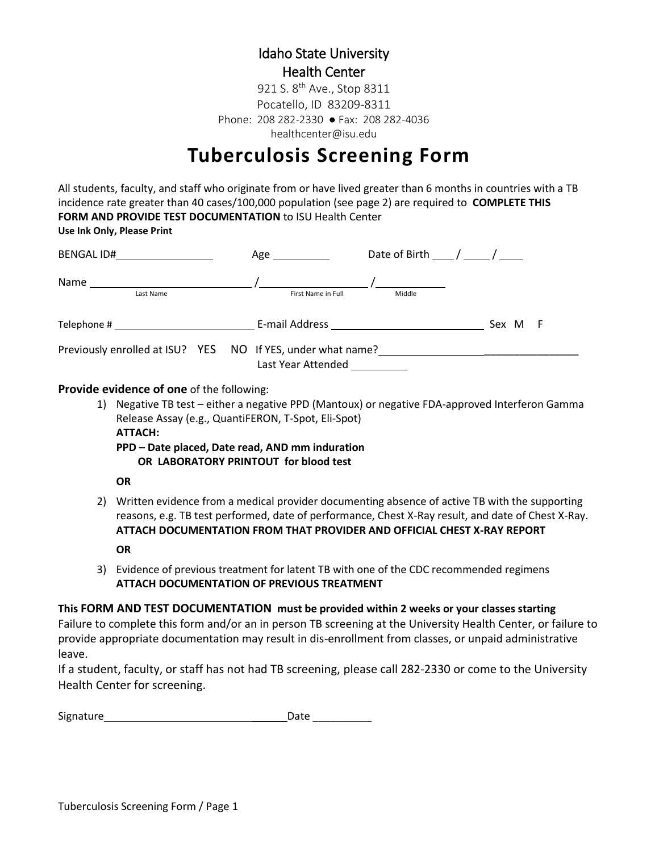### Idaho State University Health Center

healthcenter@isu.edu 921 S. 8<sup>th</sup> Ave., Stop 8311 Pocatello, ID 83209-8311 Phone: 208 282-2330 ● Fax: 208 282-4036

# **Tuberculosis Screening Form**

All students, faculty, and staff who originate from or have lived greater than 6 months in countries with a TB incidence rate greater than 40 cases/100,000 population (see page 2) are required to **COMPLETE THIS FORM AND PROVIDE TEST DOCUMENTATION** to ISU Health Center **Use Ink Only, Please Print**

| BENGAL ID#                                                  | Age $\_\_$         | Date of Birth / / |            |
|-------------------------------------------------------------|--------------------|-------------------|------------|
| Name<br>Last Name                                           | First Name in Full | Middle            |            |
|                                                             |                    |                   | Sex M<br>F |
| Previously enrolled at ISU? YES NO If YES, under what name? | Last Year Attended |                   |            |

#### **Provide evidence of one** of the following:

- 1) Negative TB test either a negative PPD (Mantoux) or negative FDA-approved Interferon Gamma Release Assay (e.g., QuantiFERON, T-Spot, Eli-Spot) **ATTACH:**
	- **PPD – Date placed, Date read, AND mm induration OR LABORATORY PRINTOUT for blood test**

#### **OR**

- 2) Written evidence from a medical provider documenting absence of active TB with the supporting reasons, e.g. TB test performed, date of performance, Chest X-Ray result, and date of Chest X-Ray. **ATTACH DOCUMENTATION FROM THAT PROVIDER AND OFFICIAL CHEST X-RAY REPORT OR**
- 3) Evidence of previous treatment for latent TB with one of the CDC recommended regimens **ATTACH DOCUMENTATION OF PREVIOUS TREATMENT**

### **This FORM AND TEST DOCUMENTATION must be provided within 2 weeks or your classes starting**

Failure to complete this form and/or an in person TB screening at the University Health Center, or failure to provide appropriate documentation may result in dis-enrollment from classes, or unpaid administrative leave.

If a student, faculty, or staff has not had TB screening, please call 282-2330 or come to the University Health Center for screening.

Signature \_\_\_\_\_\_Date \_\_\_\_\_\_\_\_\_\_